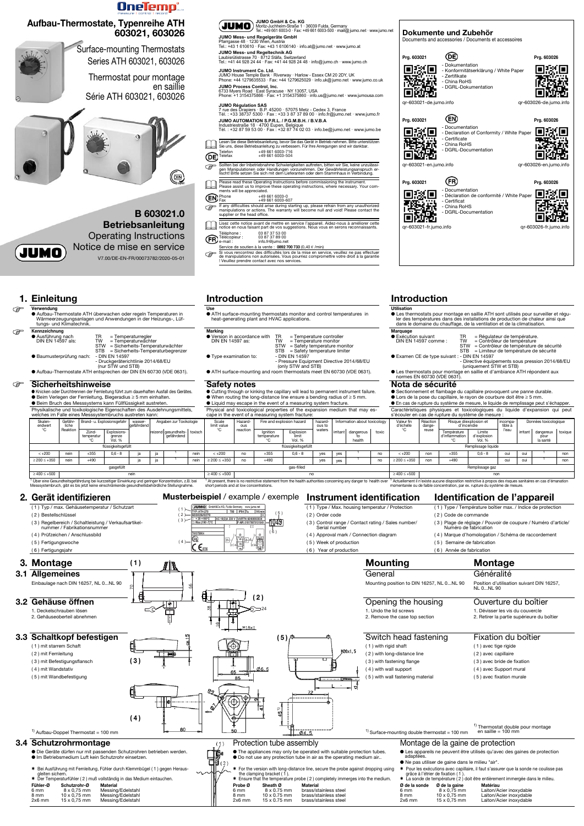





Service de soutien à la vente : 0892 700 733 (0,40  $\epsilon$ /min)<br>
Si vous rencontrez des difficultés lors de la mise en service, veuillez ne pas effectuer<br>
de manipulations non autorisées. Vous pourriez compromettre votre dro

**Use**

heat-generating plant and HVAC applications.



● Version in accordance with TR = Temperature controller<br>DIN EN 14597 as: TW = Temperature monitor  $\begin{array}{rcl}\n\text{TR} & = \text{Temperature controller} \\
\text{TW} & = \text{September} \\
\text{STW} & = \text{Safety temperature monitor} \\
\text{STR} & = \text{Safety temperature limit} \\
\end{array}$ - Pressure Equipment Directive 2014/68/EU (only STW and STB)

- STB = Safety temperature limiter<br>- DIN EN 14597  $\bullet$  Type examination to:
- ATH surface-mounting and room thermostats meet EN 60730 (VDE 0631).

# **Marking**

- **Utilisation** ● Les thermostats pour montage en saillie ATH sont utilisés pour surveiller et réguler des températures dans des installations de production de chaleur ainsi que dans le domaine du chauffage, de la ventilation et de la climatisation.
- **Marquage**<br>● Exécution suivant<br>DIN EN 14597 comme : ● Exécution suivant TR = Régulateur de température. DIN EN 14597 comme : TW = Contrôleur de température STW = Contrôleur de température de sécurité
- 
- STB = Limiteur de température de sécurité ● Examen CE de type suivant : - DIN EN 14597
	-
	- Directive équipements sous pression 2014/68/EU (uniquement STW et STB)
- Les thermostats pour montage en saillie et d'ambiance ATH répondent aux normes EN 60730 (VDE 0631).

- Lors de la pose du capillaire, le rayon de courbure doit être ≥ 5 mm.
- En cas de rupture du système de mesure, le liquide de remplissage peut s'échapper. Caractéristiques physiques et toxicologiques du liquide d'expansion qui peut

● Knicken oder Durchtrennen der Fernleitung führt zum dauerhaften Ausfall des Gerätes. ● Beim Verlegen der Fernleitung, Biegeradius ≥ 5 mm einhalten.

### **Safety notes**

## **Nota de sécurité**

● Beim Bruch des Messsystems kann Füllflüssigkeit austreten. Physikalische und toxikologische Eigenschaften des Ausdehnungsmittels, ● Sectionnement et flambage du capillaire provoquent une panne durable.

- Cutting through or kinking the capillary will lead to permanent instrument failure.
- When routing the long-distance line ensure a bending radius of  $\geq$  5 mm.
- Liquid may escape in the event of a measuring system fracture. Physical and toxicological properties of the expansion medium that may es-

**3. Montage Mounting Montage** Mounting position to DIN 16257, NL 0...NL 90 Généralité Position d'utilisation suivant DIN 16257,  $N$  $\begin{bmatrix} 0.01 & 90 \\ 0.01 & 0 \end{bmatrix}$ 

welches im Falle eines Messsystembruchs austreten kann: cape in the event of a measuring system fracture s'écouler en cas de rupture du système de mesure Skaler endwert °C Gefähr liche Reaktion Brand- u. Explosionsgefahr | wasser efährde Angaben zur Toxikologie Bang Scale limit value °C Hazardous reaction Fire and explosion hazard hazard ous to waters nformation about toxicology Valeur fin d'échelle °C **Réactio** dange-reuse Risque díexplosion et d'incendie ncompa tible à l'eau Données toxicologique Zündtemperatur °C Explosionsgrenze Vol. % resundheits *gefährdend* Ignition temperature °C Explosion limit Vol. % irritant dangerous to health toxic  $\overline{C}$   $\overline{C}$  reuse Température d'inflammation °C Limite d'explosion Vol. % dangereux pour la santé toxigu flüssigkeitsgefüllt flüssigkeitsgefüllt flüssigkeitsgefüllt flüssigkeitsgefüllt flüssigkeitsgefüllt andet flüssigkeitsgefüllt flüssigkeitsgefüllt flüssigkeitsgefüllt flüssigkeitsgefüllt flüssigkeitsgefüllt flüssigkeitsgefü < +200 nein +355 0,6 - 8 ja ja <sup>1</sup> nein < +200 no +355 0,6 - 8 yes yes <sup>1</sup> no < +200 non +355 0,6 - 8 oui oui <sup>1</sup> non ≥ 200 ≤ +350 nein +490 ja ja <sup>1</sup> nein ≥ 200 ≤ +350 no +490 yes yes <sup>1</sup> no ≥ 200 ≤ +350 non +490 oui oui <sup>1</sup> non gasgefüllt gas-filled and a struck gas-filled and a struck gas-filled and a struck gas-filled and a struck gas-filled and a struck gas-filled and a struck gas-filled and a struck gas-filled and a struck gas-filled and a st ≥ 400 ≤ +500 nein ≥ 400 ≤ +500 no ≥ 400 ≤ +500 non

<sup>1</sup> Über eine Gesundheitsgefährdung bei kurzzeitiger Einwirkung und geringer Konzentration, z.B. bei<br>Messsystembruch, gibt es bis jetzt keine einschränkende gesundheitsbehördliche Stellungnahme.

## **2. Gerät identifizieren Musterbeispiel** / example / exemple **Instrument identification Identification de l'appareil**



Lisez cette notice avant de mettre en service l'appareil. Aidez-nous à améliorer cette notice en nous faisant part de vos suggestions. Nous vous en serons reconnaissants. Téléphone : 03 87 37 53 00 Télécopieur : 03 87 37 89 00 e-mail : info.fr@jumo.net

- ( 2 ) Bestellschlüssel
- ( 3 ) Regelbereich / Schaltleistung / Verkaufsartikelnummer / Fabrikationsnumme
- ( 4 ) Prüfzeichen / Anschlussbild
- ( 5 ) Fertigungswoche
- ( 6 ) Fertigungsjahr

- ( 1 ) Type / Max. housing temperatur / Protection ( 2 ) Order code
- ( 3 ) Control range / Contact rating / Sales number/
- Serial number ( 4 ) Approval mark / Connection diagram
- ( 5 ) Week of production
- ( 6 ) Year of production

( 1 ) Type / Température boîtier max. / Indice de protection

( 2 ) Code de commande

( 3 ) Plage de réglage / Pouvoir de coupure / Numéro d'article/

Numéro de fabrication

( 4 ) Marque d'homologation / Schéma de raccordement

**JUMO Régulation SAS**<br>7 rue des Drapiers · B.P. 45200 · 57075 Metz - Cedex 3, France<br>Tél. : +33 38737 5300 · Fax : +33 3 87 37 89 00 · info.fr@jumo.net · www.jumo.fr **JUMO AUTOMATION S.P.R.L. / P.G.M.B.H. / B.V.B.A**

( 5 ) Semaine de fabrication ( 6 ) Année de fabrication

## Lesen Sie diese Betriebsanleitung, bevor Sie das Gerät in Betrieb nehmen. Bitte unterstützen<br>Sie uns, diese Betriebsanleitung zu verbessern. Für Ihre Anregungen sind wir dankbar. Industriestraße 18 · 4700 Eupen, Belgique Tél. : +32 87 59 53 00 · Fax : +32 87 74 02 03 · info.be@jumo.net · www.jumo.be

- **3.1 Allgemeines**
	- Einbaulage nach DIN 16257, NL 0...NL 90

General

<sup>1</sup> At present, there is no restrictive statement from the health authorities concerning any danger to health over <sup>1</sup> Actuellement il n'existe aucune disposition restrictive à propos des risques sanitaires en cas d'émanat

**3.2 Gehäuse öffnen**

1. Deckelschrauben lösen 2. Gehäuseoberteil abnehmen

**JUMO** GmbH&Co.KG, Fulda Ge ( 1 ) T80 | IP54 Tu | 1K/r ( 5 )  $(2)$ **AC 10(2)A 230 V VA** ( 3 ) -1049  $(6)$ ńı  $\overline{\mathbb{C}}$  $(4)$  $\sqrt{\frac{2}{n}}$  $C \epsilon$ 

## Opening the housing

1. Undo the lid screws 2. Remove the case top section

## Ouverture du boîtier

1. Dévisser les vis du couvercle 2. Retirer la partie supérieure du boîtier



**( 1 )**

ाग

24 **( 2 )**

## Telefon +49 661 6003-716 Telefax +49 661 6003-504

- Sollten bei der Inbetriebnahme Schwierigkeiten auftreten, bitten wir Sie, keine unzulässigen Manipulationen oder Handlungen vorzunehmen. Der Gewährleistungsanspruch er-<br>Sollten Manipulationen oder Handlungen vorzunehmen. D
- **Please read these Operating Instructions before commissioning the instrument.**<br>Please assist us to improve these operating instructions, where necessary. Your com-<br>ments will be appreciated.

### $F_{\text{max}}$  Phone  $+49,661,6003-0$ <br> $+49,661,6003-6$  $+496616003-607$

 $\overbrace{\mathcal{L}}$  Fax  $+49\overline{661}\overline{6003}$ -607<br>
If any difficulties should arise during starting up, please refrain from any unauthorized<br>
manipulations or actions. The warranty will become null and void! Please contact the<br>
s

Service de soutien à la vente : **0892 700 733** (0,40 € /min)

**JUMO GmbH & Co. KG** Moritz-Juchheim-Straße 1 · 36039 Fulda, Germany

Tel.: +49 661 6003-0 · Fax: +49 661 6003-500 · mail@jumo.net · www.jumo.net

(JUMO

**JUMO Mess- und Regelgeräte GmbH** Pfarrgasse 48 · 1230 Wien, Austria Tel.: +43 1 610610 · Fax: +43 1 6106140 · info.at@jumo.net · www.jumo.at **JUMO Mess- und Regeltechnik AG** Laubisrütistrasse 70 · 8712 Stäfa, Switzerland Tel.: +41 44 928 24 44 · Fax: +41 44 928 24 48 · info@jumo.ch · www.jumo.ch

**JUMO Instrument Co. Ltd.**<br>JUMO House Temple Bank · Riverway · Harlow - Essex CM 20 2DY, UK<br>Phone: +44 1279635533 · Fax: +44 1279625029 · info.uk@jumo.net · www.jumo.co.uk

**JUMO Process Control, Inc.** 6733 Myers Road · East Syracuse · NY 13057, USA Phone: +1 3154375866 · Fax: +1 3154375860 · info.us@jumo.net · www.jumousa.com

## **OneTemp**

## **Aufbau-Thermostate, Typenreihe ATH 603021, 603026**



Surface-mounting Thermostats Series ATH 603021, 603026

Thermostat pour montage en saillie Série ATH 603021, 603026



**B 603021.0 Betriebsanleitung** Operating Instructions Notice de mise en service V7.00/DE-EN-FR/00073782/2020-05-01

**JUMO** 

- **Verwendung** nttettamig<br>Aufbau-Thermostate ATH überwachen oder regeln Temperaturen ir Wärmeerzeugungsanlagen und Anwendungen in der Heizungs-, Lüf-tungs- und Klimatechnik. **Kennzeichnung**<br>**Ausführung nach**<br>DIN EN 14597 als ● Ausführung nach TR = Temperaturregler DIN EN 14597 als: TW = Temperaturwächter STW = Sicherheits-Temperaturwächter<br>STB = Sicherheits-Temperaturbegrenz STB = Sicherheits-Temperaturbegrenzer<br>- DIN EN 14597
	- Baumusterprüfung nach: - Druckgeräterichtlinie 2014/68/EU (nur STW und STB) ● Aufbau-Thermostate ATH entsprechen der DIN EN 60730 (VDE 0631).

### **Sicherheitshinweise**

**Dokumente und Zubehör**

Documents and accessories / Documents et accessoires

**Prg. 603021 Prg. 603026** - Dokumentation 回窓回 同發情 - Konformitätserklärung / White Paper - Zertifikate 预选费 - China RoHS - DGRL-Dokumentation 回游者 qr-603021-de.jumo.info qr-603026-de.jumo.info **Prg. 603021 Prg. 603026** - Documentation 回激回 - Declaration of Conformity / White Paper - Certificate - China RoHS - DGRL-Documentation 回观题 qr-603021-en.jumo.info qr-603026-en.jumo.info **Prg. 603021 Prg. 603026** - Documentation 回怒回 回怒回 - Déclaration de conformité / White Pape - Certificat 形態 - China RoHS - DGRL-Documentation ī 回溯边 п qr-603021-fr.jumo.info qr-603026-fr.jumo.info